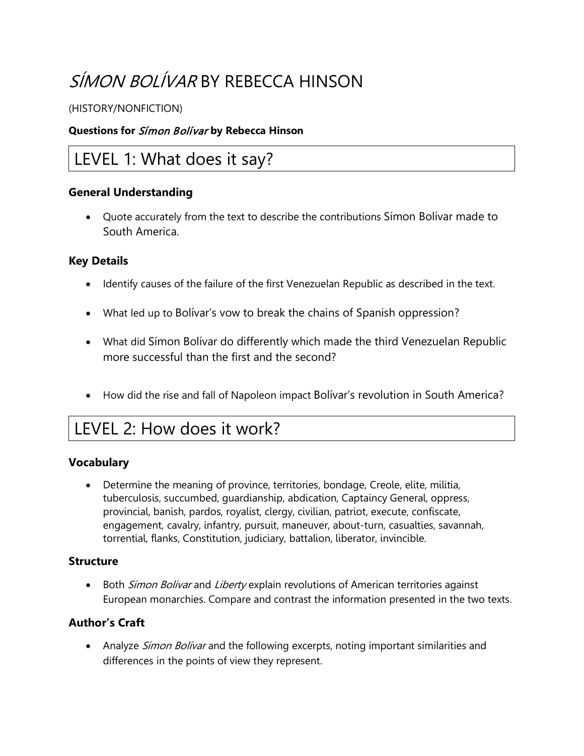# SÍMON BOLÍVAR BY REBECCA HINSON

### (HISTORY/NONFICTION)

### **Questions for** Símon Bolívar **by Rebecca Hinson**

## LEVEL 1: What does it say?

### **General Understanding**

• Quote accurately from the text to describe the contributions Símon Bolívar made to South America.

### **Key Details**

- Identify causes of the failure of the first Venezuelan Republic as described in the text.
- What led up to Bolívar's vow to break the chains of Spanish oppression?
- What did Símon Bolívar do differently which made the third Venezuelan Republic more successful than the first and the second?
- How did the rise and fall of Napoleon impact Bolívar's revolution in South America?

# LEVEL 2: How does it work?

#### **Vocabulary**

• Determine the meaning of province, territories, bondage, Creole, elite, militia, tuberculosis, succumbed, guardianship, abdication, Captaincy General, oppress, provincial, banish, pardos, royalist, clergy, civilian, patriot, execute, confiscate, engagement, cavalry, infantry, pursuit, maneuver, about-turn, casualties, savannah, torrential, flanks, Constitution, judiciary, battalion, liberator, invincible.

#### **Structure**

• Both Simon Bolivar and Liberty explain revolutions of American territories against European monarchies. Compare and contrast the information presented in the two texts.

### **Author's Craft**

• Analyze Simon Bolivar and the following excerpts, noting important similarities and differences in the points of view they represent.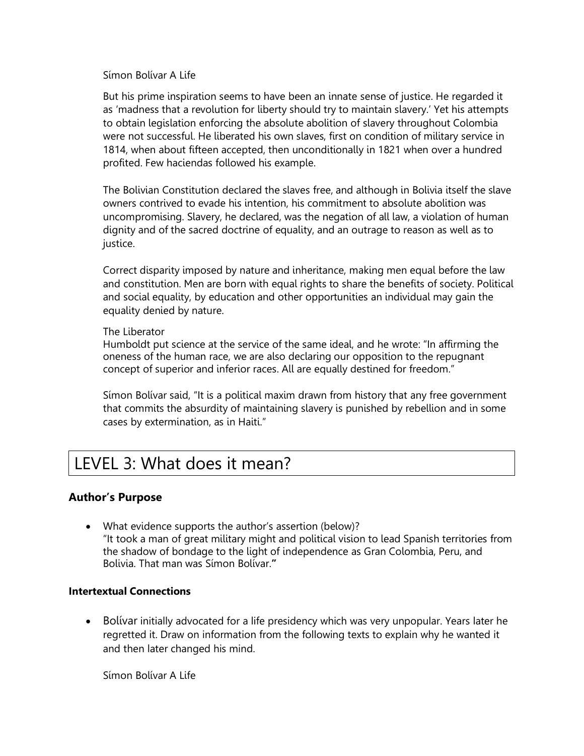Símon Bolívar A Life

But his prime inspiration seems to have been an innate sense of justice. He regarded it as 'madness that a revolution for liberty should try to maintain slavery.' Yet his attempts to obtain legislation enforcing the absolute abolition of slavery throughout Colombia were not successful. He liberated his own slaves, first on condition of military service in 1814, when about fifteen accepted, then unconditionally in 1821 when over a hundred profited. Few haciendas followed his example.

The Bolivian Constitution declared the slaves free, and although in Bolivia itself the slave owners contrived to evade his intention, his commitment to absolute abolition was uncompromising. Slavery, he declared, was the negation of all law, a violation of human dignity and of the sacred doctrine of equality, and an outrage to reason as well as to justice.

Correct disparity imposed by nature and inheritance, making men equal before the law and constitution. Men are born with equal rights to share the benefits of society. Political and social equality, by education and other opportunities an individual may gain the equality denied by nature.

#### The Liberator

Humboldt put science at the service of the same ideal, and he wrote: "In affirming the oneness of the human race, we are also declaring our opposition to the repugnant concept of superior and inferior races. All are equally destined for freedom."

Símon Bolívar said, "It is a political maxim drawn from history that any free government that commits the absurdity of maintaining slavery is punished by rebellion and in some cases by extermination, as in Haiti."

## LEVEL 3: What does it mean?

#### **Author's Purpose**

• What evidence supports the author's assertion (below)? "It took a man of great military might and political vision to lead Spanish territories from the shadow of bondage to the light of independence as Gran Colombia, Peru, and Bolivia. That man was Símon Bolívar.**"**

#### **Intertextual Connections**

• Bolívar initially advocated for a life presidency which was very unpopular. Years later he regretted it. Draw on information from the following texts to explain why he wanted it and then later changed his mind.

Símon Bolívar A Life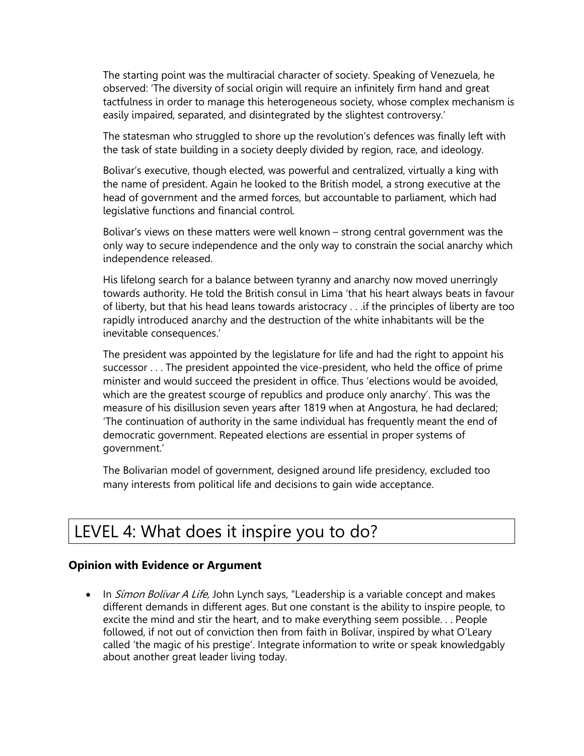The starting point was the multiracial character of society. Speaking of Venezuela, he observed: 'The diversity of social origin will require an infinitely firm hand and great tactfulness in order to manage this heterogeneous society, whose complex mechanism is easily impaired, separated, and disintegrated by the slightest controversy.'

The statesman who struggled to shore up the revolution's defences was finally left with the task of state building in a society deeply divided by region, race, and ideology.

Bolivar's executive, though elected, was powerful and centralized, virtually a king with the name of president. Again he looked to the British model, a strong executive at the head of government and the armed forces, but accountable to parliament, which had legislative functions and financial control.

Bolivar's views on these matters were well known – strong central government was the only way to secure independence and the only way to constrain the social anarchy which independence released.

His lifelong search for a balance between tyranny and anarchy now moved unerringly towards authority. He told the British consul in Lima 'that his heart always beats in favour of liberty, but that his head leans towards aristocracy . . .if the principles of liberty are too rapidly introduced anarchy and the destruction of the white inhabitants will be the inevitable consequences.'

The president was appointed by the legislature for life and had the right to appoint his successor . . . The president appointed the vice-president, who held the office of prime minister and would succeed the president in office. Thus 'elections would be avoided, which are the greatest scourge of republics and produce only anarchy'. This was the measure of his disillusion seven years after 1819 when at Angostura, he had declared; 'The continuation of authority in the same individual has frequently meant the end of democratic government. Repeated elections are essential in proper systems of government.'

The Bolivarian model of government, designed around life presidency, excluded too many interests from political life and decisions to gain wide acceptance.

# LEVEL 4: What does it inspire you to do?

#### **Opinion with Evidence or Argument**

• In Simon Bolivar A Life, John Lynch says, "Leadership is a variable concept and makes different demands in different ages. But one constant is the ability to inspire people, to excite the mind and stir the heart, and to make everything seem possible. . . People followed, if not out of conviction then from faith in Bolívar, inspired by what O'Leary called 'the magic of his prestige'. Integrate information to write or speak knowledgably about another great leader living today.